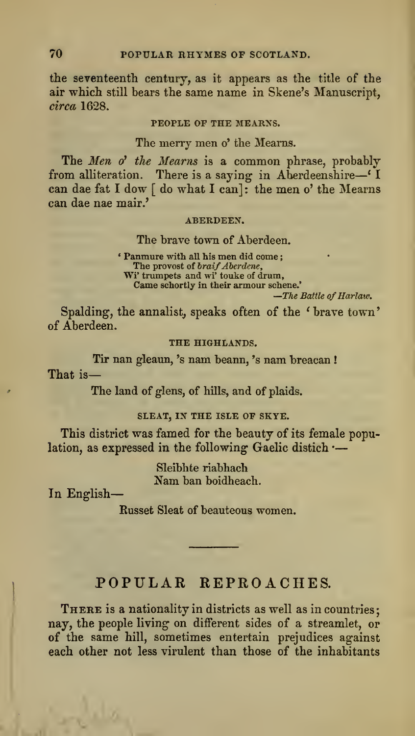# POPULAR REPROACHES.

There is <sup>a</sup> nationality in districts as well as in countries; nay, the people living on different sides of a streamlet, or of the same hill, sometimes entertain prejudices against each other not less virulent than those of the inhabitants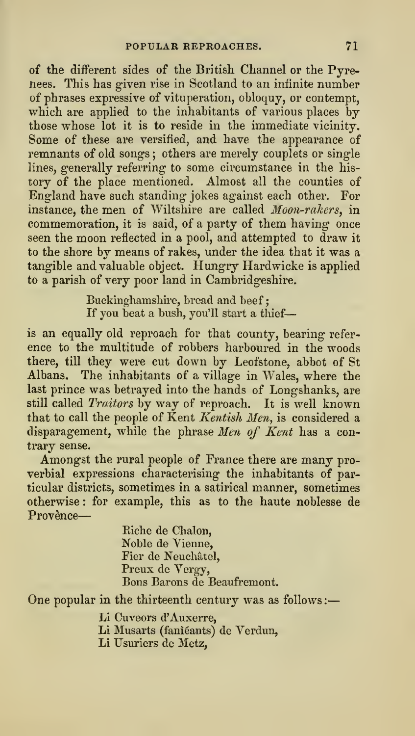of the different sides of the British Channel or the Pyrenees. This has given rise in Scotland to an infinite number of phrases expressive of vituperation, obloquy, or contempt, which are applied to the inhabitants of various places by those whose lot it is to reside in the immediate vicinity. Some of these are versified, and have the appearance of remnants of old songs; others are merely couplets or single lines, generally referring to some circumstance in the his tory of the place mentioned. Almost all the counties of England have such standing jokes against each other. For instance, the men of Wiltshire are called Moon-rakcrs, in commemoration, it is said, of a party of them having once seen the moon reflected in a pool, and attempted to draw it to the shore by means of rakes, under the idea that it was a tangible and valuable object. Hungry Hardwicke is applied to a parish of very poor land in Cambridgeshire.

> Buckinghamshire, bread and beef; If you beat a bush, you'll start a thief-

is an equally old reproach for that county, bearing refer ence to the multitude of robbers harboured in the woods there, till they were cut down by Leofstone, abbot of St Albans. The inhabitants of a village in Wales, where the last prince was betrayed into the hands of Longshanks, are still called Traitors by way of reproach. It is well known that to call the people of Kent Kentish Men, is considered a disparagement, while the phrase Men of Kent has a contrary sense.

Amongst the rural people of France there are many proverbial expressions characterising the inhabitants of particular districts, sometimes in a satirical manner, sometimes otherwise : for example, this as to the haute noblesse de Provènce-

> Riche de Chalon, Noble de Vienne, Fier de Neuchâtel, Preux de Vergy, Eons Barons de Beaufremont.

One popular in the thirteenth century was as follows :

Li Cuveors d'Auxerre,

- Li Musarts (faniéants) de Verdun,
- Li Usuriers de Metz,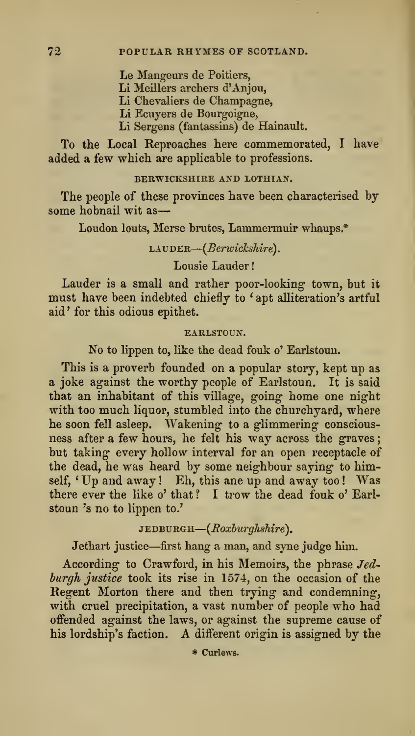Le Mangeurs de Poitiers,

Li Meillers archers d'Anjou,

Li Chevaliers de Champagne,

Li Ecuyers de Bourgoigne,

Li Sergens (fantassins) de Hainault.

To the Local Reproaches here commemorated, I have added a few which are applicable to professions.

# BERWICKSHIRE AND LOTHIAN.

The people of these provinces have been characterised by some hobnail wit as

Loudon louts, Merse brutes, Lammermuir whaups.\*

LAUDER—(*Berwickshire*).

# Lousie Lauder

Lauder is a small and rather poor-looking town, but it must have been indebted chiefly to ' apt alliteration's artful aid' for this odious epithet.

#### EARLSTOUN.

No to lippen to, like the dead fouk o'Earlstoun.

This is a proverb founded on a popular story, kept up as a joke against the worthy people of Earlstoun. It is said that an inhabitant of this village, going home one night with too much liquor, stumbled into the churchyard, where he soon fell asleep. Wakening to a glimmering consciousness after <sup>a</sup> few hours, he felt his way across the graves; but taking every hollow interval for an open receptacle of the dead, he was heard by some neighbour saying- to himself, 'Up and away! Eh, this ane up and away too! Was there ever the like o' that? I trow the dead fouk o' Earlstoun 's no to lippen to.'

 ${\tt JEDBURGH}\text{\textendash}({\it Roxburghshire})$ .

Jethart justice—first hang a man, and syne judge him.

According to Crawford, in his Memoirs, the phrase Jed burgh justice took its rise in 1574, on the occasion of the Regent Morton there and then trying- and condemning, with cruel precipitation, a vast number of people who had offended against the laws, or against the supreme cause of his lordship's faction. A different origin is assigned by the

\* Curlews.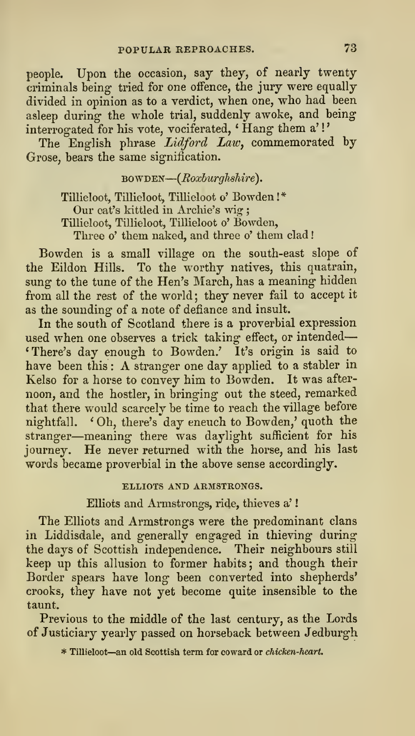people. Upon the occasion, say they, of nearly twenty criminals being tried for one offence, the jury were equally divided in opinion as to a verdict, when one, who had been asleep during the whole trial, suddenly awoke, and being interrogated for his vote, vociferated, ' Hang them a' !

The English phrase Lidford Law, commemorated by Grose, bears the same signification.

BOWDEN—(Roxburghshire).

Tillieloot, Tillieloot, Tillieloot o' Bowden !\* Our cat's kittled in Archie's wig ; Tillieloot, Tillieloot, Tillieloot o' Bowden, Three o' them naked, and three o' them clad!

Bowden is a small village on the south-east slope of the Eildon Hills. To the worthy natives, this quatrain, sung to the tune of the Hen's March, has a meaning hidden from all the rest of the world; they never fail to accept it as the sounding of a note of defiance and insult.

In the south of Scotland there is a proverbial expression used when one observes a trick taking effect, or intended 'There's day enough to Bowden.' It's origin is said to have been this: A stranger one day applied to a stabler in Kelso for a horse to convey him to Bowden. It was after noon, and the hostler, in bringing out the steed, remarked that there would scarcely be time to reach the village before nightfall, ' Oh, there's day eneuch to Bowden,' quoth the stranger—meaning there was daylight sufficient for his journey. He never returned with the horse, and his last words became proverbial in the above sense accordingly.

# ELLIOTS AND ARMSTRONGS.

Elliots and Armstrongs, ride, thieves a'

The Elliots and Armstrongs were the predominant clans in Liddisdale, and generally engaged in thieving during\* the days of Scottish independence. Their neighbours still keep up this allusion to former habits ; and though their Border spears have long been converted into shepherds' crooks, they have not yet become quite insensible to the taunt.

Previous to the middle of the last century, as the Lords of Justiciary yearly passed on horseback between Jedburgh

\* Tillieloot—an old Scottish term for coward or chicken-heart.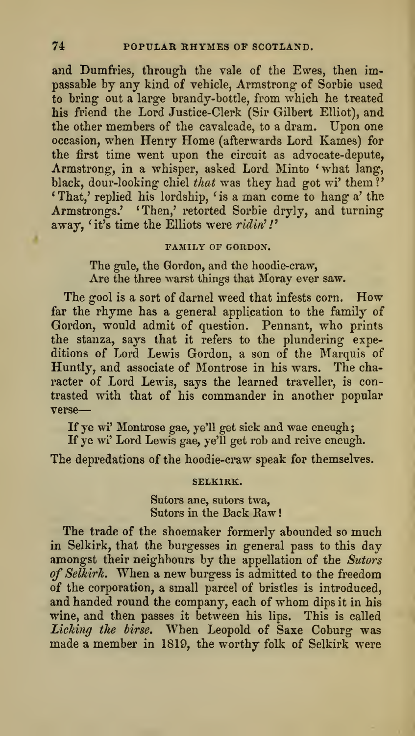and Dumfries, through the vale of the Ewes, then impassable by any kind of vehicle, Armstrong of Sorbie used to bring- out a large brandy-bottle, from which he treated his friend the Lord Justice-Clerk (Sir Gilbert Elliot), and the other members of the cavalcade, to a dram. Upon one occasion, when Henry Home (afterwards Lord Kames) for the first time went upon the circuit as advocate-depute, Armstrong, in a whisper, asked Lord Minto 'what lang, black, dour-looking chiel that was they had got wi' them?' 'That,' replied his lordship, ' is a man come to hang a' the Armstrongs.' 'Then,' retorted Sorbie dryly, and turning away, 'it's time the Elliots were ridin'!'

# FAMILY OF GORDON.

The gule, the Gordon, and the hoodie-craw, Are the three warst things that Moray ever saw.

The gool is a sort of darnel weed that infests corn. How far the rhyme has a general application to the family of Gordon, would admit of question. Pennant, who prints the stanza, says that it refers to the plundering expeditions of Lord Lewis Gordon, a son of the Marquis of Huntly, and associate of Montrose in his wars. The character of Lord Lewis, says the learned traveller, is contrasted with that of his commander in another popular verse

If ye wi' Montrose gae, ye'll get sick and wae eneugh;

If ye wi' Lord Lewis gae, ye'U get rob and reive eneugh.

The depredations of the hoodie-craw speak for themselves.

#### SELKIRK.

Sutors ane, sutors twa, Sutors in the Back Raw!

The trade of the shoemaker formerly abounded so much in Selkirk, that the burgesses in general pass to this day amongst their neighbours by the appellation of the Sutors of Selkirk. When a new burgess is admitted to the freedom of the corporation, a small parcel of bristles is introduced, and handed round the company, each of whom dips it in his wine, and then passes it between his lips. This is called Licking the birse. When Leopold of Saxe Coburg was made amember in 1819, the worthy folk of Selkirk were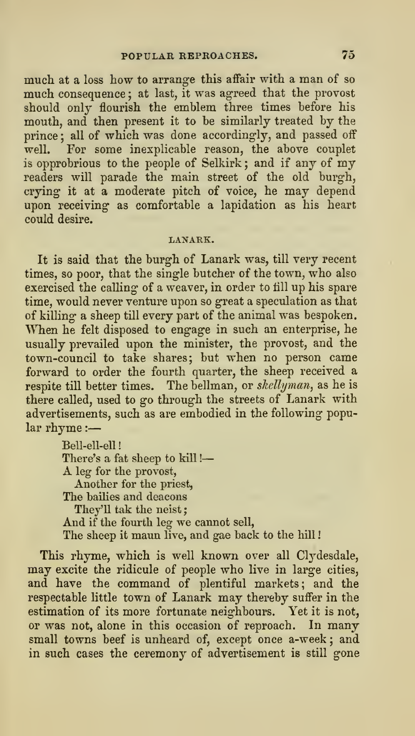much at a loss how to arrange this affair with a man of so much consequence ; at last, it was agreed that the provost should only flourish the emblem three times before his mouth, and then present it to be similarly treated by the prince ; all of which was done according'ly, and passed off well. For some inexplicable reason, the above couplet is opprobrious to the people of Selkirk ; and if any of my readers will parade the main street of the old burgh, crying- it at a moderate pitch of voice, he may depend upon receiving' as comfortable a lapidation as his heart could desire.

# LANARK.

It is said that the burgh of Lanark was, till very recent times, so poor, that the single butcher of the town, who also exercised the calling of a weaver, in order to till up his spare time, would never venture upon so great a speculation as that of killing a sheep till every part of the animal was bespoken. When he felt disposed to engage in such an enterprise, he usually prevailed upon the minister, the provost, and the town-council to take shares; but when no person came forward to order the fourth quarter, the sheep received a respite till better times. The bellman, or skellyman, as he is there called, used to go through the streets of Lanark with advertisements, such as are embodied in the following popular rhyme :

> Bell-ell-ell! There's a fat sheep to kill ! A leg for the provost, Another for the priest, The bailies and deacons They'll tak the neist; And if the fourth leg we cannot sell, The sheep it maun live, and gae back to the hill!

This rhyme, which is well known over all Clydesdale, may excite the ridicule of people who live in large cities, and have the command of plentiful markets; and the respectable little town of Lanark may thereby suffer in the estimation of its more fortunate neighbours. Yet it is not, or was not, alone in this occasion of reproach. In many small towns beef is unheard of, except once a-week; and in such cases the ceremony of advertisement is still gone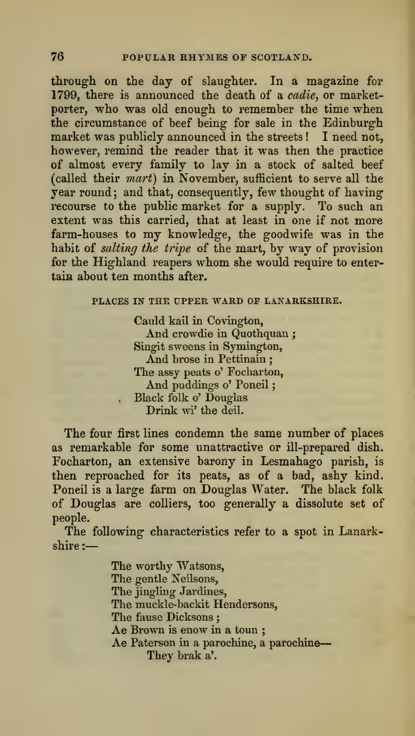through on the day of slaughter. In a magazine for 1799, there is announced the death of a cadie, or marketporter, who was old enough to remember the time when the circumstance of beef being for sale in the Edinburgh market was publicly announced in the streets ! I need not, however, remind the reader that it was then the practice of almost every family to lay in a stock of salted beef (called their mart) in November, sufficient to serve all the year round; and that, consequently, few thought of having recourse to the public market for a supply. To such an extent was this carried, that at least in one if not more farm-houses to my knowledge, the goodwife was in the habit of salting the tripe of the mart, by way of provision for the Highland reapers whom she would require to entertain about ten months after.

# PLACES IN THE UPPER WARD OF LANARKSHIRE.

Cauld kail in Covington, And crowdie in Quothquan ; Singit sweens in Symington, And brose in Pettinain ; The assy peats o' Focharton, And puddings o' Poneil . Black folk o' Douglas Drink wi' the deil.

The four first lines condemn the same number of places as remarkable for some unattractive or ill-prepared dish. Focharton, an extensive barony in Lesmahago parish, is then reproached for its peats, as of a bad, ashy kind. Poneil is a large farm on Douglas Water. The black folk of Douglas are colliers, too generally a dissolute set of people.

The following characteristics refer to a spot in Lanarkshire :

> The worthy Watsons, The gentle Neilsons, The jingling Jardines, The muckle-backit Hendersons, The fause Dicksons ; Ae Brown is enow in a toun ; Ae Paterson in a parochine, a parochine They brak a'.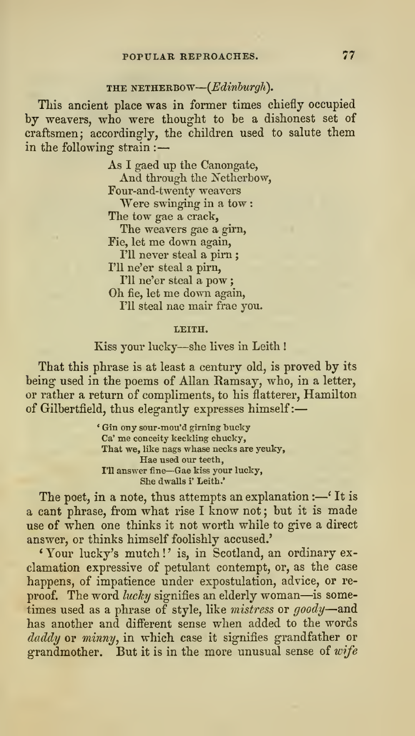# POPULAR REPROACHES. 77

# THE NETHERBOW— $(Edunburgh)$ .

This ancient place was in former times chiefly occupied by weavers, who were thought to be a dishonest set of craftsmen; accordingly, the children used to salute them in the following strain :

> As <sup>I</sup> gaed up the Canongate, And through the Netherbow, Four-and-twenty weavers Were swinging in a tow :The tow gae a crack. The weavers gae a girn, Fie, let me down again, I'll never steal a pirn ; I'll ne'er steal a pirn, I'll ne'er steal a pow ; Oh fie, let me down again, I'll steal nae mair frae you.

#### LEITH.

# Kiss your lucky—she lives in Leith !

That this phrase is at least a century old, is proved by its being used in the poems of Allan Ramsay, who, in a letter, or rather a return of compliments, to his flatterer, Hamilton of Gilbertfield, thus elegantly expresses himself :

> ' Gin ony sour-mou'd girning bucky Ca' me conceity keckling chucky, That we, like nags whase necks are yeuky, Hae used our teeth, I'll answer fine—Gae kiss your lucky, She dwalls i' Leith.'

The poet, in a note, thus attempts an explanation  $:$ — $\mathfrak{f}$  It is a cant phrase, from what rise I know not; but it is made use of when one thinks it not worth while to give a direct answer, or thinks himself foolishly accused.'

'Your lucky's mutch!' is, in Scotland, an ordinary exclamation expressive of petulant contempt, or, as the case happens, of impatience under expostulation, advice, or re proof. The word lucky signifies an elderly woman-is sometimes used as <sup>a</sup> phrase of style, like mistress or goody—and has another and different sense when added to the words daddy or minny, in which case it signifies grandfather or grandmother. But it is in the more unusual sense of wife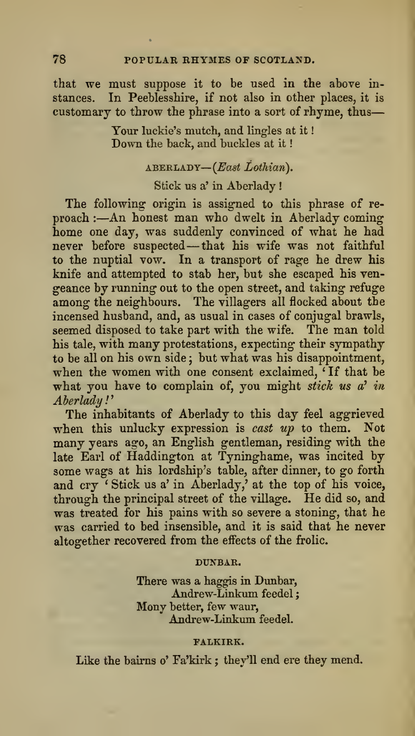that we must suppose it to be used in the above in stances. In Peeblesshire, if not also in other places, it is customary to throw the phrase into a sort of rhyme, thus

> Your luckie's mutch, and lingles at it Down the back, and buckles at it

# ABERLADY-(East Lothian).

# Stick us a'in Aberlady !

The following origin is assigned to this phrase of re proach :- An honest man who dwelt in Aberlady coming home one day, was suddenly convinced of what he had never before suspected-that his wife was not faithful to the nuptial vow. In a transport of rage he drew his knife and attempted to stab her, but she escaped his ven geance by running out to the open street, and taking refuge among the neighbours. The villagers all flocked about the incensed husband, and, as usual in cases of conjugal brawls, seemed disposed to take part with the wife. The man told his tale, with many protestations, expecting their sympathy to be all on his own side ; but what was his disappointment, when the women with one consent exclaimed, ' If that be what you have to complain of, you might stick us a' in Aberlady '

The inhabitants of Aberlady to this day feel aggrieved when this unlucky expression is cast up to them. Not many years ago, an English gentleman, residing with the late Earl of Haddington at Tyninghame, was incited by some wags at his lordship's table, after dinner, to go forth and cry ' Stick us a'in Aberlady,' at the top of his voice, through the principal street of the village. He did so, and was treated for his pains with so severe a stoning, that he was carried to bed insensible, and it is said that he never altogether recovered from the effects of the frolic.

#### DUNBAR.

There was a haggis in Dunbar, Andrew-Linkum feedel Mony better, few waur, Andrew-Linkum feedel.

#### FALKIRK.

Like the bairns o' Fa'kirk ; they'll end ere they mend.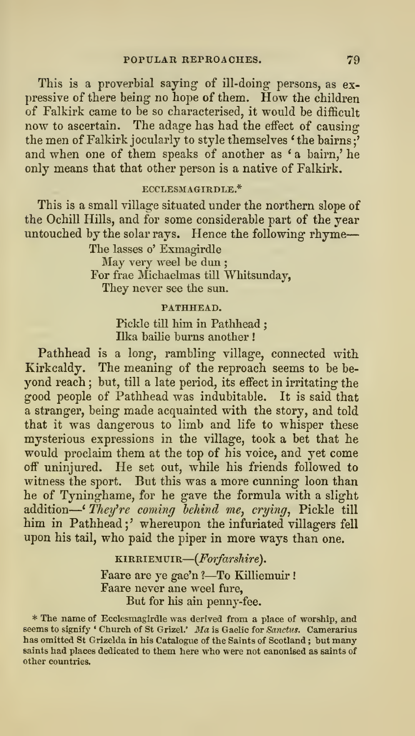This is a proverbial saying of ill-doing persons, as expressive of there being no hope of them. How the children of Falkirk came tobe so characterised, it would be difficult now to ascertain. The adage has had the effect of causing the men of Falkirk jocularly to style themselves 'the bairns?' and when one of them speaks of another as 'a bairn,' he only means that that other person is a native of Falkirk.

# ECCLESMAGIRDLE.\*

This is a small village situated under the northern slope of the Ochill Hills, and for some considerable part of the year untouched by the solar rays. Hence the following rhyme

The lasses o' Exmagirdle May very weel be dun ; For frae Michaelmas till Whitsunday, They never see the sun.

# PATHHEAD.

Pickle till him in Pathhead: Ilka bailie burns another !

Pathhead is a long, rambling-village, connected with Kirkcaldy. The meaning of the reproach seems to be be yond reach ; but, till a late period, its effect in irritating the good people of Pathhead was indubitable. It is said that a stranger, being made acquainted with the story, and told that it was dangerous to limb and life to whisper these mysterious expressions in the village, took a bet that he would proclaim them at the top of his voice, and yet come off uninjured. He setout, while his friends followed to witness the sport. But this was a more cunning loon than he of Tyninghame, for he gave the formula with a slight addition—'*They're coming behind me, crying,* Pickle till him in Pathhead ; ' whereupon the infuriated villagers fell upon his tail, who paid the piper in more ways than one.

> KIRRIEMUIR—(*Forfarshire*). Faare are ye gae'n ?- To Killiemuir! Faare never ane weel fare, But for his ain penny-fee.

\* The name of Ecclesmagirdle was derived from a place of worship, and seems to signify ' Church of St Grizel.' Ma is Gaelic for Sanctus. Camerarius has omitted St Grizelda in his Catalogue of the Saints of Scotland ; but many saints had places dedicated to them here who were not canonised as saints of other countries.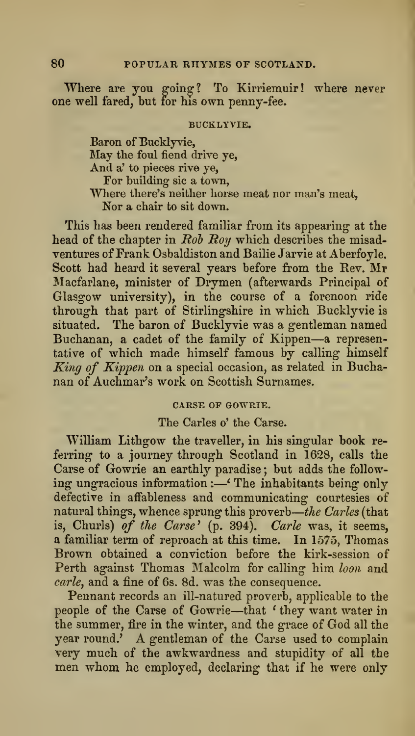Where are you going? To Kirriemuir! where never one well fared, but for his own penny-fee.

# BUCKLYVIE.

Baron of Bucklyvie, May the foul fiend drive ye. And a' to pieces rive ye, For building sic a town, Where there's neither horse meat nor man's meat, Nor a chair to sit down.

This has been rendered familiar from its appearing- at the head of the chapter in  $Rob\; Roy$  which describes the misadventures of Frank Osbaldiston and Bailie Jarvie at Aberfoyle. Scott had heard it several years before from the Rev. Mr Macfarlane, minister of Drymen (afterwards Principal of Glasgow university), in the course of a forenoon ride through that part of Stirlingshire in which Bucklyvie is situated. The baron of Bucklyvie was a gentleman named Buchanan, <sup>a</sup> cadet of the family of Kippen—<sup>a</sup> representative of which made himself famous by calling himself King of Kippen on <sup>a</sup> special occasion, as related in Bucha nan of Auchmar's work on Scottish Surnames.

#### CARSE OF GOWRIE.

# The Carles o' the Carse.

William Lithgow the traveller, in his singular book re ferring to a journey through Scotland in 1628, calls the Carse of Gowrie an earthly paradise ; but adds the follow ing ungracious information :- 'The inhabitants being only defective in affableness and communicating courtesies of natural things, whence sprung this proverb—*the Carles* (that is, Churls) of the Carse' (p. 394). Carle was, it seems, a familiar term of reproach at this time. In 1575, Thomas Brown obtained a conviction before the kirk-session of Perth against Thomas Malcolm for calling him loon and carle, and a fine of 6s. 8d. was the consequence.

Pennant records an ill-natured proverb, applicable to the people of the Carse of Gowrie—that ' they want water in the summer, fire in the winter, and the grace of God all the year round.' A gentleman of the Carse used to complain very much of the awkwardness and stupidity of all the men whom he employed, declaring that if he were only